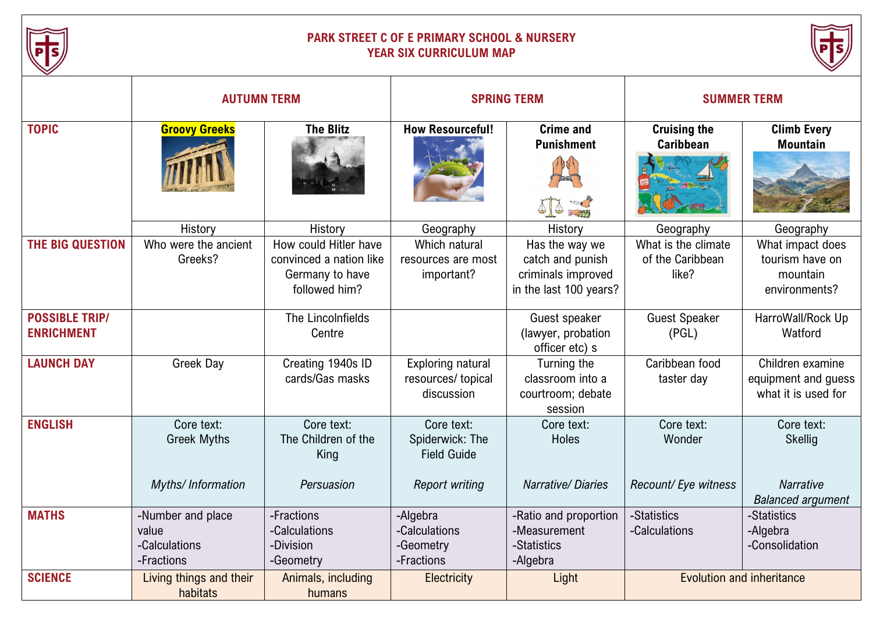

## **PARK STREET C OF E PRIMARY SCHOOL & NURSERY YEAR SIX CURRICULUM MAP**



|                                            | <b>AUTUMN TERM</b>                                        |                                                                                      | <b>SPRING TERM</b>                                                           |                                                                                    | <b>SUMMER TERM</b>                               |                                                                  |
|--------------------------------------------|-----------------------------------------------------------|--------------------------------------------------------------------------------------|------------------------------------------------------------------------------|------------------------------------------------------------------------------------|--------------------------------------------------|------------------------------------------------------------------|
| <b>TOPIC</b>                               | <b>Groovy Greeks</b>                                      | <b>The Blitz</b>                                                                     | <b>How Resourceful!</b>                                                      | <b>Crime and</b><br><b>Punishment</b>                                              | <b>Cruising the</b><br>Caribbean                 | <b>Climb Every</b><br><b>Mountain</b>                            |
|                                            | History                                                   | History                                                                              | Geography                                                                    | History                                                                            | Geography                                        | Geography                                                        |
| THE BIG QUESTION                           | Who were the ancient<br>Greeks?                           | How could Hitler have<br>convinced a nation like<br>Germany to have<br>followed him? | Which natural<br>resources are most<br>important?                            | Has the way we<br>catch and punish<br>criminals improved<br>in the last 100 years? | What is the climate<br>of the Caribbean<br>like? | What impact does<br>tourism have on<br>mountain<br>environments? |
| <b>POSSIBLE TRIP/</b><br><b>ENRICHMENT</b> |                                                           | The LincoInfields<br>Centre                                                          |                                                                              | Guest speaker<br>(lawyer, probation<br>officer etc) s                              | <b>Guest Speaker</b><br>(PGL)                    | HarroWall/Rock Up<br>Watford                                     |
| <b>LAUNCH DAY</b>                          | Greek Day                                                 | Creating 1940s ID<br>cards/Gas masks                                                 | <b>Exploring natural</b><br>resources/ topical<br>discussion                 | Turning the<br>classroom into a<br>courtroom; debate<br>session                    | Caribbean food<br>taster day                     | Children examine<br>equipment and guess<br>what it is used for   |
| <b>ENGLISH</b>                             | Core text:<br><b>Greek Myths</b><br>Myths/Information     | Core text:<br>The Children of the<br>King<br>Persuasion                              | Core text:<br>Spiderwick: The<br><b>Field Guide</b><br><b>Report writing</b> | Core text:<br><b>Holes</b><br><b>Narrative/Diaries</b>                             | Core text:<br>Wonder<br>Recount/ Eye witness     | Core text:<br>Skellig<br><b>Narrative</b>                        |
|                                            |                                                           |                                                                                      |                                                                              |                                                                                    |                                                  | <b>Balanced argument</b>                                         |
| <b>MATHS</b>                               | -Number and place<br>value<br>-Calculations<br>-Fractions | -Fractions<br>-Calculations<br>-Division<br>-Geometry                                | -Algebra<br>-Calculations<br>-Geometry<br>-Fractions                         | -Ratio and proportion<br>-Measurement<br>-Statistics<br>-Algebra                   | -Statistics<br>-Calculations                     | -Statistics<br>-Algebra<br>-Consolidation                        |
| <b>SCIENCE</b>                             | Living things and their<br>habitats                       | Animals, including<br>humans                                                         | Electricity                                                                  | Light                                                                              |                                                  | <b>Evolution and inheritance</b>                                 |